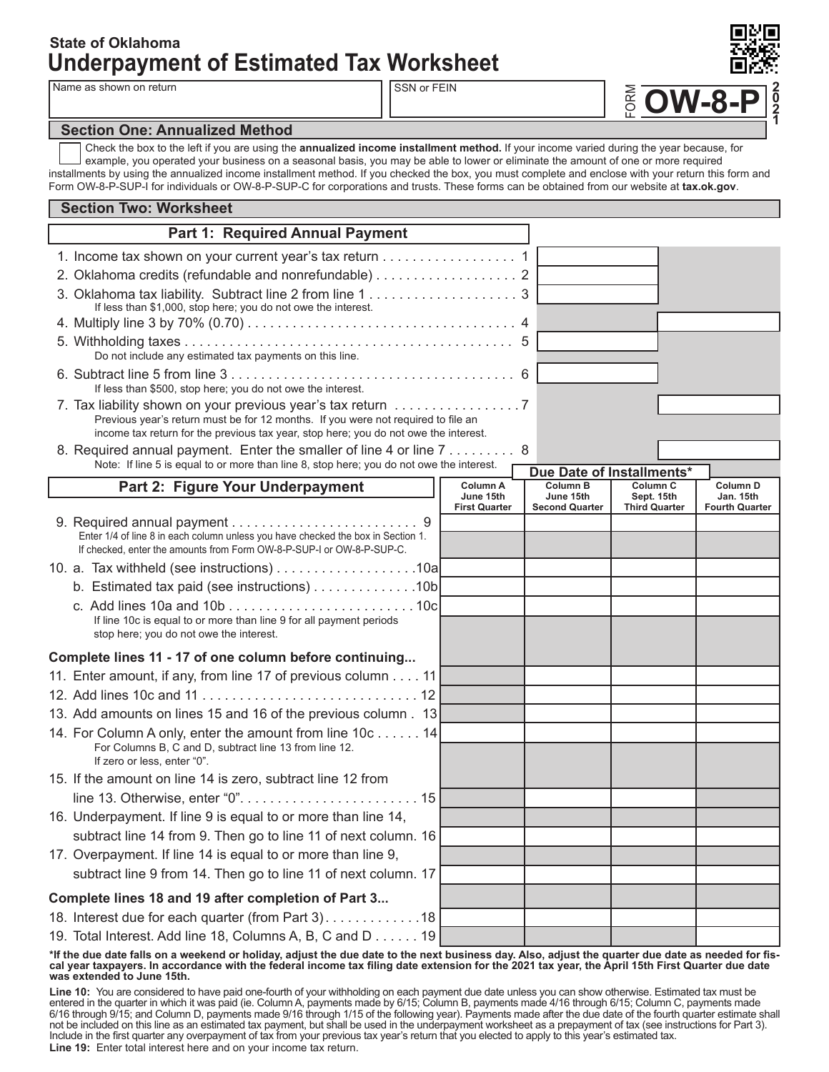## **Underpayment of Estimated Tax Worksheet State of Oklahoma**

Name as shown on return SSN or FEIN

**OW-8-P 2 0 2 1**

FORM

## **Section One: Annualized Method**

Check the box to the left if you are using the **annualized income installment method.** If your income varied during the year because, for example, you operated your business on a seasonal basis, you may be able to lower or eliminate the amount of one or more required installments by using the annualized income installment method. If you checked the box, you must complete and enclose with your return this form and Form OW-8-P-SUP-I for individuals or OW-8-P-SUP-C for corporations and trusts. These forms can be obtained from our website at **tax.ok.gov**.

| <b>Section Two: Worksheet</b> |                                                                                                                                                                                                                                        |                                               |  |                                                       |                                                           |  |                                                       |  |  |  |  |
|-------------------------------|----------------------------------------------------------------------------------------------------------------------------------------------------------------------------------------------------------------------------------------|-----------------------------------------------|--|-------------------------------------------------------|-----------------------------------------------------------|--|-------------------------------------------------------|--|--|--|--|
|                               | Part 1: Required Annual Payment                                                                                                                                                                                                        |                                               |  |                                                       |                                                           |  |                                                       |  |  |  |  |
|                               | 1. Income tax shown on your current year's tax return 1                                                                                                                                                                                |                                               |  |                                                       |                                                           |  |                                                       |  |  |  |  |
|                               | 2. Oklahoma credits (refundable and nonrefundable) 2                                                                                                                                                                                   |                                               |  |                                                       |                                                           |  |                                                       |  |  |  |  |
|                               | If less than \$1,000, stop here; you do not owe the interest.                                                                                                                                                                          |                                               |  |                                                       |                                                           |  |                                                       |  |  |  |  |
|                               |                                                                                                                                                                                                                                        |                                               |  |                                                       |                                                           |  |                                                       |  |  |  |  |
|                               | Do not include any estimated tax payments on this line.                                                                                                                                                                                |                                               |  |                                                       |                                                           |  |                                                       |  |  |  |  |
|                               | If less than \$500, stop here; you do not owe the interest.                                                                                                                                                                            |                                               |  |                                                       |                                                           |  |                                                       |  |  |  |  |
|                               | 7. Tax liability shown on your previous year's tax return<br>Previous year's return must be for 12 months. If you were not required to file an<br>income tax return for the previous tax year, stop here; you do not owe the interest. |                                               |  |                                                       |                                                           |  |                                                       |  |  |  |  |
|                               | 8. Required annual payment. Enter the smaller of line 4 or line 7 8                                                                                                                                                                    |                                               |  |                                                       |                                                           |  |                                                       |  |  |  |  |
|                               | Note: If line 5 is equal to or more than line 8, stop here; you do not owe the interest.                                                                                                                                               |                                               |  | Due Date of Installments*                             |                                                           |  |                                                       |  |  |  |  |
|                               | Part 2: Figure Your Underpayment                                                                                                                                                                                                       | Column A<br>June 15th<br><b>First Quarter</b> |  | <b>Column B</b><br>June 15th<br><b>Second Quarter</b> | Column <sub>C</sub><br>Sept. 15th<br><b>Third Quarter</b> |  | <b>Column D</b><br>Jan. 15th<br><b>Fourth Quarter</b> |  |  |  |  |
|                               |                                                                                                                                                                                                                                        |                                               |  |                                                       |                                                           |  |                                                       |  |  |  |  |
|                               | Enter 1/4 of line 8 in each column unless you have checked the box in Section 1.<br>If checked, enter the amounts from Form OW-8-P-SUP-I or OW-8-P-SUP-C.                                                                              |                                               |  |                                                       |                                                           |  |                                                       |  |  |  |  |
|                               | 10. a. Tax withheld (see instructions) 10a                                                                                                                                                                                             |                                               |  |                                                       |                                                           |  |                                                       |  |  |  |  |
|                               | b. Estimated tax paid (see instructions) 10b                                                                                                                                                                                           |                                               |  |                                                       |                                                           |  |                                                       |  |  |  |  |
|                               | If line 10c is equal to or more than line 9 for all payment periods<br>stop here; you do not owe the interest.                                                                                                                         |                                               |  |                                                       |                                                           |  |                                                       |  |  |  |  |
|                               | Complete lines 11 - 17 of one column before continuing                                                                                                                                                                                 |                                               |  |                                                       |                                                           |  |                                                       |  |  |  |  |
|                               | 11. Enter amount, if any, from line 17 of previous column 11                                                                                                                                                                           |                                               |  |                                                       |                                                           |  |                                                       |  |  |  |  |
|                               |                                                                                                                                                                                                                                        |                                               |  |                                                       |                                                           |  |                                                       |  |  |  |  |
|                               | 13. Add amounts on lines 15 and 16 of the previous column. 13                                                                                                                                                                          |                                               |  |                                                       |                                                           |  |                                                       |  |  |  |  |
|                               | 14. For Column A only, enter the amount from line 10c 14<br>For Columns B, C and D, subtract line 13 from line 12.<br>If zero or less, enter "0".                                                                                      |                                               |  |                                                       |                                                           |  |                                                       |  |  |  |  |
|                               | 15. If the amount on line 14 is zero, subtract line 12 from                                                                                                                                                                            |                                               |  |                                                       |                                                           |  |                                                       |  |  |  |  |
|                               |                                                                                                                                                                                                                                        |                                               |  |                                                       |                                                           |  |                                                       |  |  |  |  |
|                               | 16. Underpayment. If line 9 is equal to or more than line 14,                                                                                                                                                                          |                                               |  |                                                       |                                                           |  |                                                       |  |  |  |  |
|                               | subtract line 14 from 9. Then go to line 11 of next column. 16                                                                                                                                                                         |                                               |  |                                                       |                                                           |  |                                                       |  |  |  |  |
|                               | 17. Overpayment. If line 14 is equal to or more than line 9,                                                                                                                                                                           |                                               |  |                                                       |                                                           |  |                                                       |  |  |  |  |
|                               | subtract line 9 from 14. Then go to line 11 of next column. 17                                                                                                                                                                         |                                               |  |                                                       |                                                           |  |                                                       |  |  |  |  |
|                               | Complete lines 18 and 19 after completion of Part 3                                                                                                                                                                                    |                                               |  |                                                       |                                                           |  |                                                       |  |  |  |  |
|                               | 18. Interest due for each quarter (from Part 3). 18                                                                                                                                                                                    |                                               |  |                                                       |                                                           |  |                                                       |  |  |  |  |
|                               | 19. Total Interest. Add line 18, Columns A, B, C and D 19                                                                                                                                                                              |                                               |  |                                                       |                                                           |  |                                                       |  |  |  |  |

**\*If the due date falls on a weekend or holiday, adjust the due date to the next business day. Also, adjust the quarter due date as needed for fiscal year taxpayers. In accordance with the federal income tax filing date extension for the 2021 tax year, the April 15th First Quarter due date was extended to June 15th.**

**Line 10:** You are considered to have paid one-fourth of your withholding on each payment due date unless you can show otherwise. Estimated tax must be entered in the quarter in which it was paid (ie. Column A, payments made by 6/15; Column B, payments made 4/16 through 6/15; Column C, payments made 6/16 through 9/15; and Column D, payments made 9/16 through 1/15 of the following year). Payments made after the due date of the fourth quarter estimate shall not be included on this line as an estimated tax payment, but shall be used in the underpayment worksheet as a prepayment of tax (see instructions for Part 3). Include in the first quarter any overpayment of tax from your previous tax year's return that you elected to apply to this year's estimated tax. **Line 19:** Enter total interest here and on your income tax return.